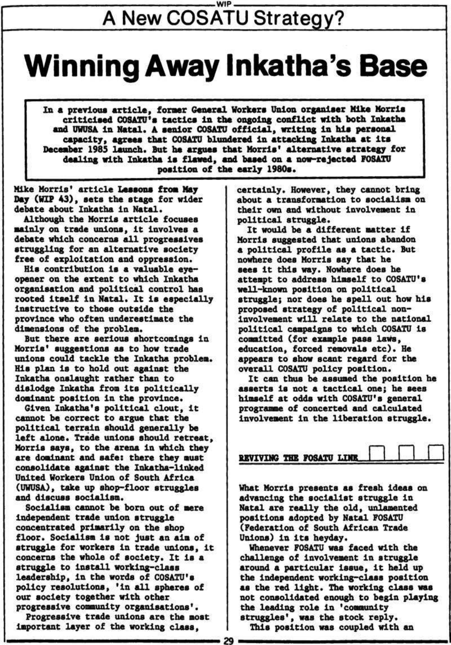## **WIP**  A New COSATU Strategy?

# **Winning Away Inkatha's Base**

**Zn a previous article, former General Workers Union organiser Mike Morris criticised COSATU<sup>1</sup>s tactics in the ongoing conflict with both Inkatha and UWUSA In Natal. A senior COSATU official, writing In his personal capacity, agraaa that COSATU blundered In attacking Inkatha at its December 1985 launch. But ha argues that Morris' alternative strategy for dealing with Inkatha is flawed, and based on a now-rejected FOSAIU position of the early 1980s.** 

**Mike Morris\* article Lessons from May Day (HIP 43), sets the stage for wider debate about Inkatha in Natal.** 

**Although the Morris article focuses mainly on trade unions, It Involves a debate which concerns all progressives struggling for an alternative society free of exploitation and oppression.** 

**His contribution is a valuable eyeopener on the extent to which Inkatha organisation and political control has rooted Itself in Natal. It la especially instructive to those outside the province who often underestimate the dimensions of the problem.** 

**But there are serious shortcomings in Morris' suggestions as to how trade unions could tackle the Inkatha problem. His plan Is to hold out against the Inkatha onslaught rather than to dislodge Inkatha from Its politically dominant position In the province.** 

**Given Inkatha's political clout, It cannot be correct to argue that the political terrain should generally be left alone. Trade unions should retreat, Morris says, to the arena in which they ere dominant and safe: there they must consolidate against the Inkatha-llnked United Workers Union of South Africa (UWUSA), take up shop-floor struggles and discuss socialism.** 

**Socialism cannot be born out of mere** 

**Independent trade union struggle concentrated primarily on the shop floor. Socialism is not Just an aim of struggle for workers in trade unions, it concerns the whole of society. It is a struggle to install working-class leadership, in the words of COSATU's policy resolutions, 'In all spheres of our society together with other progressive community organisations<sup>1</sup>. Progressive trade unions are the most Important layer of the working class,** 

**certainly. However, they cannot bring about a transformation to socialism on their own and without Involvement in political struggle.** 

**It would be a different matter if Morris suggested that unions abandon a political profile as a tactic. But nowhere does Morris say that he aees It this way. Nowhere does he attempt to address himself to COSATU's well-known position on political struggle; nor does he spell out how his proposed strategy of political noninvolvement will relate to the national political campaigns to which COSATU is committed (for example pass laws, education, forced removals etc). He appears to show scant regard for the overall COSATU policy position.** 

**It can thus be assumed the position he asserts is not a tactical one; he sees himself at odds with COSATU's general programme of concerted and calculated Involvement in the liberation struggle.** 

| REVIVING THE FOSATU LINE |  |  |  |
|--------------------------|--|--|--|

**What Morris presents as fresh Ideas on advancing the socialist struggle in Natal are really the old, unlaaented positions adopted by Natal FOSATU (Federation of South African Trade Unions) In Its heyday. Whenever FOSATU was faced with the challenge of involvement In struggle around a particular issue, It held up the independent working-class position aa the red light. The working class was not consolidated enough to begin playing the leading role In 'community struggles', was the stock reply. This position was coupled with an** 

29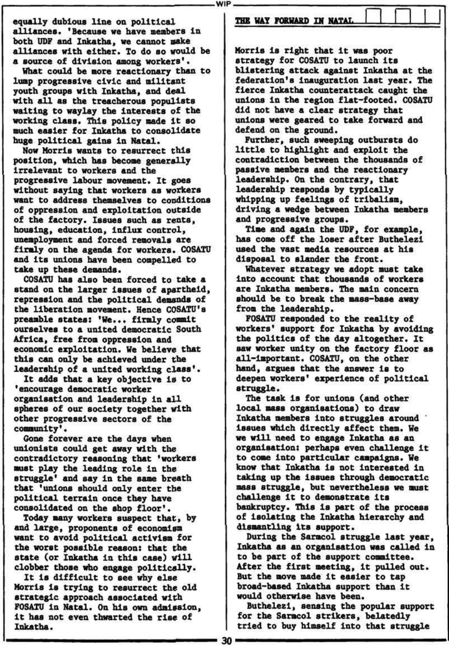WIP

equally dubious line on political alliances. 'Because we have members in both UDF and Inkatha, we cannot make alliances with either. To do so would be a source of division among workers'.

Now Morris wants to resurrect this position, which has become generally irrelevant to workers and the progressive labour movement. It goes without saying that workers as workers want to address themselves to conditions of oppression and exploitation outside of the factory. Issues such as rents, housing, education, Influx control, unemployment and forced removals are firmly on the agenda for workers. COSATU and its unions have been compelled to take up these demands.

What could be more reactionary than to lump progressive civic and militant youth groups with Inkatha, and deal with all as the treacherous populists waiting to waylay the interests of the working class. This policy made it so much easier for Inkatha to consolidate huge political gains in Natal.

COSATU has also been forced to take a stand on the larger issues of apartheid, repression and the political demands of the liberation movement. Hence COSATU»s preamble states: 'He... firmly commit ourselves to a united democratic South Africa, free from oppression and economic exploitation. We believe that this can only be achieved under the leadership of a united working class'.

It adds that a key objective Is to •encourage democratic worker organisation and leadership in all spheres of our society together with other progressive sectors of the community'•

Gone forever are the days when unionists could get away with the contradictory reasoning that 'workers must play the leading role in the struggle' and say in the same breath that 'unions should only enter the political terrain once they have consolidated on the shop floor'. Today many workers suspect that, by and large, proponents of economlsm want to avoid political activism for the worst possible reason: that the state (or Inkatha in this case) will clobber those who engage politically. It is difficult to see why else Morris is trying to resurrect the old strategic approach associated with FOSATU in Natal. On his own admission, it has not even thwarted the rise of Inkatha.

THE WAY FORWARD IN NATAL

Morris is right that it was poor strategy for COSATU to launch its blistering attack against Inkatha at the federation's inauguration last year. The fierce Inkatha counterattack caught the unions in the region flat-footed. COSATU did not have a clear strategy that unions were geared to take forward and defend on the ground.

Further, such sweeping outbursts do little to highlight and exploit the contradiction between the thousands of passive members and the reactionary leadership. On the contrary, that leadership responds by typically whipping up feelings of tribalism, driving a wedge between Inkatha members and progressive groups.

Time and again the UDF, for example, has come off the loser after Buthelezl used the vast media resources at his disposal to slander the front.

Whatever strategy we adopt must take Into account that thousands of workers are Inkatha members. The main concern should be to break the mass-base away from the leadership.

FOSATU responded to the reality of workers' support for Inkatha by avoiding the politics of the day altogether. It saw worker unity on the factory floor as all-Important. COSATU, on the other hand, argues that the answer is to deepen workers' experience of political struggle.

The task is for unions (and other local mass organisations) to draw Inkatha members into struggles around issues which directly affect them. We we will need to engage Inkatha as an organisation: perhaps even challenge it to come Into particular campaigns. We know that Inkatha is not interested in taking up the issues through democratic mass struggle, but nevertheless we must challenge it to demonstrate its bankruptcy. This Is part of the process of isolating the Inkatha hierarchy and dismantling its support. During the Sarmcol struggle last year, Inkatha as an organisation was called in to be part of the support committee. After the first meeting, it pulled out. But the move made it easier to tap broad-based Inkatha support than it would otherwise have been. Buthelezl, sensing the popular support for the Sarmcol strikers, belatedly tried to buy himself into that struggle

30